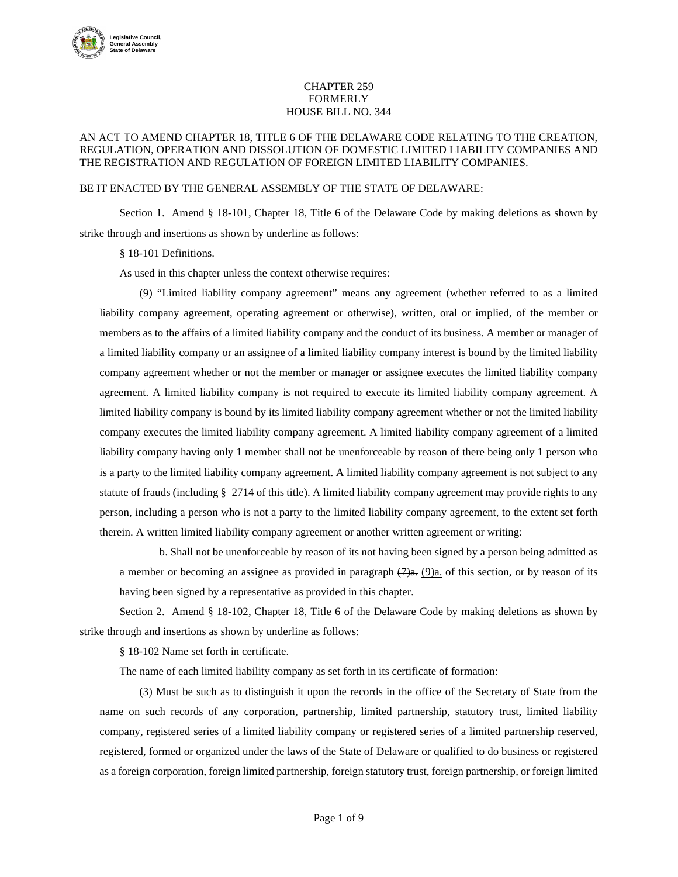

## CHAPTER 259 FORMERLY HOUSE BILL NO. 344

## AN ACT TO AMEND CHAPTER 18, TITLE 6 OF THE DELAWARE CODE RELATING TO THE CREATION, REGULATION, OPERATION AND DISSOLUTION OF DOMESTIC LIMITED LIABILITY COMPANIES AND THE REGISTRATION AND REGULATION OF FOREIGN LIMITED LIABILITY COMPANIES.

## BE IT ENACTED BY THE GENERAL ASSEMBLY OF THE STATE OF DELAWARE:

Section 1. Amend § 18-101, Chapter 18, Title 6 of the Delaware Code by making deletions as shown by strike through and insertions as shown by underline as follows:

§ 18-101 Definitions.

As used in this chapter unless the context otherwise requires:

(9) "Limited liability company agreement" means any agreement (whether referred to as a limited liability company agreement, operating agreement or otherwise), written, oral or implied, of the member or members as to the affairs of a limited liability company and the conduct of its business. A member or manager of a limited liability company or an assignee of a limited liability company interest is bound by the limited liability company agreement whether or not the member or manager or assignee executes the limited liability company agreement. A limited liability company is not required to execute its limited liability company agreement. A limited liability company is bound by its limited liability company agreement whether or not the limited liability company executes the limited liability company agreement. A limited liability company agreement of a limited liability company having only 1 member shall not be unenforceable by reason of there being only 1 person who is a party to the limited liability company agreement. A limited liability company agreement is not subject to any statute of frauds (including § 2714 of this title). A limited liability company agreement may provide rights to any person, including a person who is not a party to the limited liability company agreement, to the extent set forth therein. A written limited liability company agreement or another written agreement or writing:

b. Shall not be unenforceable by reason of its not having been signed by a person being admitted as a member or becoming an assignee as provided in paragraph  $(7)$ a.  $(9)$ a. of this section, or by reason of its having been signed by a representative as provided in this chapter.

Section 2. Amend § 18-102, Chapter 18, Title 6 of the Delaware Code by making deletions as shown by strike through and insertions as shown by underline as follows:

§ 18-102 Name set forth in certificate.

The name of each limited liability company as set forth in its certificate of formation:

(3) Must be such as to distinguish it upon the records in the office of the Secretary of State from the name on such records of any corporation, partnership, limited partnership, statutory trust, limited liability company, registered series of a limited liability company or registered series of a limited partnership reserved, registered, formed or organized under the laws of the State of Delaware or qualified to do business or registered as a foreign corporation, foreign limited partnership, foreign statutory trust, foreign partnership, or foreign limited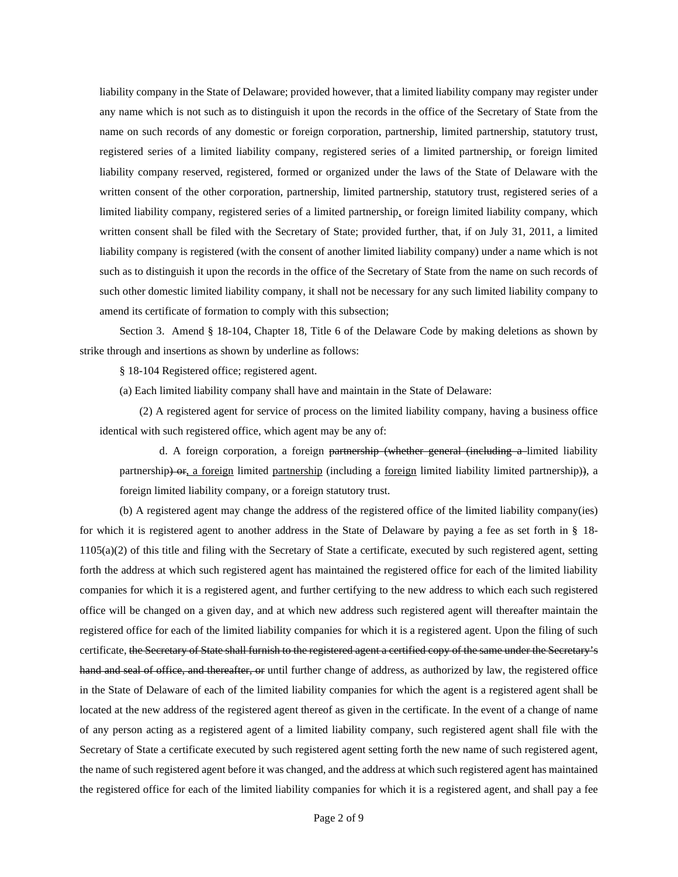liability company in the State of Delaware; provided however, that a limited liability company may register under any name which is not such as to distinguish it upon the records in the office of the Secretary of State from the name on such records of any domestic or foreign corporation, partnership, limited partnership, statutory trust, registered series of a limited liability company, registered series of a limited partnership, or foreign limited liability company reserved, registered, formed or organized under the laws of the State of Delaware with the written consent of the other corporation, partnership, limited partnership, statutory trust, registered series of a limited liability company, registered series of a limited partnership, or foreign limited liability company, which written consent shall be filed with the Secretary of State; provided further, that, if on July 31, 2011, a limited liability company is registered (with the consent of another limited liability company) under a name which is not such as to distinguish it upon the records in the office of the Secretary of State from the name on such records of such other domestic limited liability company, it shall not be necessary for any such limited liability company to amend its certificate of formation to comply with this subsection;

Section 3. Amend § 18-104, Chapter 18, Title 6 of the Delaware Code by making deletions as shown by strike through and insertions as shown by underline as follows:

§ 18-104 Registered office; registered agent.

(a) Each limited liability company shall have and maintain in the State of Delaware:

(2) A registered agent for service of process on the limited liability company, having a business office identical with such registered office, which agent may be any of:

d. A foreign corporation, a foreign partnership (whether general (including a limited liability partnership) or, a foreign limited partnership (including a foreign limited liability limited partnership)), a foreign limited liability company, or a foreign statutory trust.

(b) A registered agent may change the address of the registered office of the limited liability company(ies) for which it is registered agent to another address in the State of Delaware by paying a fee as set forth in § 18-  $1105(a)(2)$  of this title and filing with the Secretary of State a certificate, executed by such registered agent, setting forth the address at which such registered agent has maintained the registered office for each of the limited liability companies for which it is a registered agent, and further certifying to the new address to which each such registered office will be changed on a given day, and at which new address such registered agent will thereafter maintain the registered office for each of the limited liability companies for which it is a registered agent. Upon the filing of such certificate, the Secretary of State shall furnish to the registered agent a certified copy of the same under the Secretary's hand and seal of office, and thereafter, or until further change of address, as authorized by law, the registered office in the State of Delaware of each of the limited liability companies for which the agent is a registered agent shall be located at the new address of the registered agent thereof as given in the certificate. In the event of a change of name of any person acting as a registered agent of a limited liability company, such registered agent shall file with the Secretary of State a certificate executed by such registered agent setting forth the new name of such registered agent, the name of such registered agent before it was changed, and the address at which such registered agent has maintained the registered office for each of the limited liability companies for which it is a registered agent, and shall pay a fee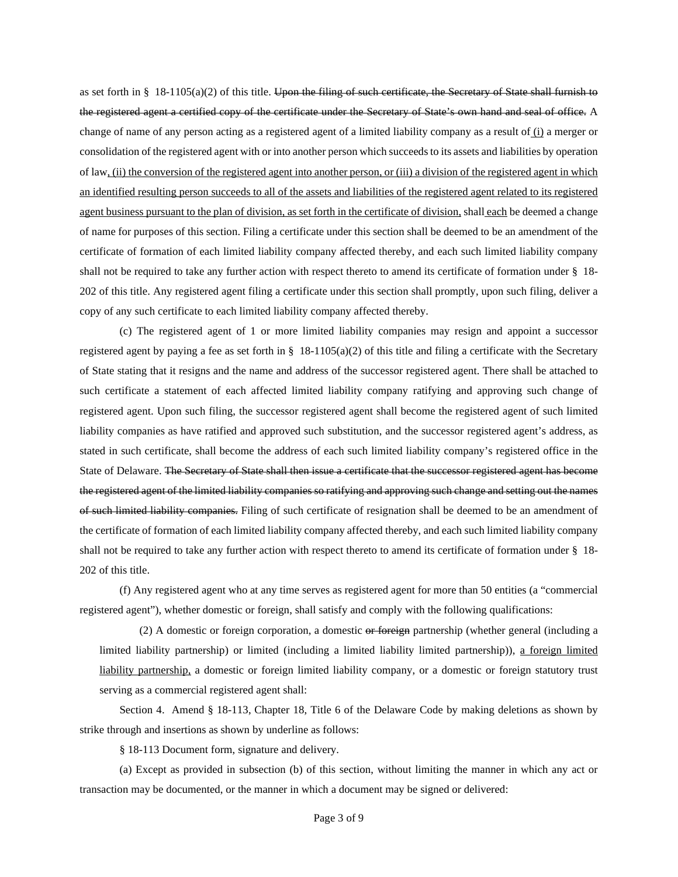as set forth in §  $18-1105(a)(2)$  of this title. Upon the filing of such certificate, the Secretary of State shall furnish to the registered agent a certified copy of the certificate under the Secretary of State's own hand and seal of office. A change of name of any person acting as a registered agent of a limited liability company as a result of (i) a merger or consolidation of the registered agent with or into another person which succeeds to its assets and liabilities by operation of law, (ii) the conversion of the registered agent into another person, or (iii) a division of the registered agent in which an identified resulting person succeeds to all of the assets and liabilities of the registered agent related to its registered agent business pursuant to the plan of division, as set forth in the certificate of division, shall each be deemed a change of name for purposes of this section. Filing a certificate under this section shall be deemed to be an amendment of the certificate of formation of each limited liability company affected thereby, and each such limited liability company shall not be required to take any further action with respect thereto to amend its certificate of formation under § 18- 202 of this title. Any registered agent filing a certificate under this section shall promptly, upon such filing, deliver a copy of any such certificate to each limited liability company affected thereby.

(c) The registered agent of 1 or more limited liability companies may resign and appoint a successor registered agent by paying a fee as set forth in  $\S$  18-1105(a)(2) of this title and filing a certificate with the Secretary of State stating that it resigns and the name and address of the successor registered agent. There shall be attached to such certificate a statement of each affected limited liability company ratifying and approving such change of registered agent. Upon such filing, the successor registered agent shall become the registered agent of such limited liability companies as have ratified and approved such substitution, and the successor registered agent's address, as stated in such certificate, shall become the address of each such limited liability company's registered office in the State of Delaware. The Secretary of State shall then issue a certificate that the successor registered agent has become the registered agent of the limited liability companies so ratifying and approving such change and setting out the names of such limited liability companies. Filing of such certificate of resignation shall be deemed to be an amendment of the certificate of formation of each limited liability company affected thereby, and each such limited liability company shall not be required to take any further action with respect thereto to amend its certificate of formation under § 18- 202 of this title.

(f) Any registered agent who at any time serves as registered agent for more than 50 entities (a "commercial registered agent"), whether domestic or foreign, shall satisfy and comply with the following qualifications:

(2) A domestic or foreign corporation, a domestic or foreign partnership (whether general (including a limited liability partnership) or limited (including a limited liability limited partnership)), a foreign limited liability partnership, a domestic or foreign limited liability company, or a domestic or foreign statutory trust serving as a commercial registered agent shall:

Section 4. Amend § 18-113, Chapter 18, Title 6 of the Delaware Code by making deletions as shown by strike through and insertions as shown by underline as follows:

§ 18-113 Document form, signature and delivery.

(a) Except as provided in subsection (b) of this section, without limiting the manner in which any act or transaction may be documented, or the manner in which a document may be signed or delivered: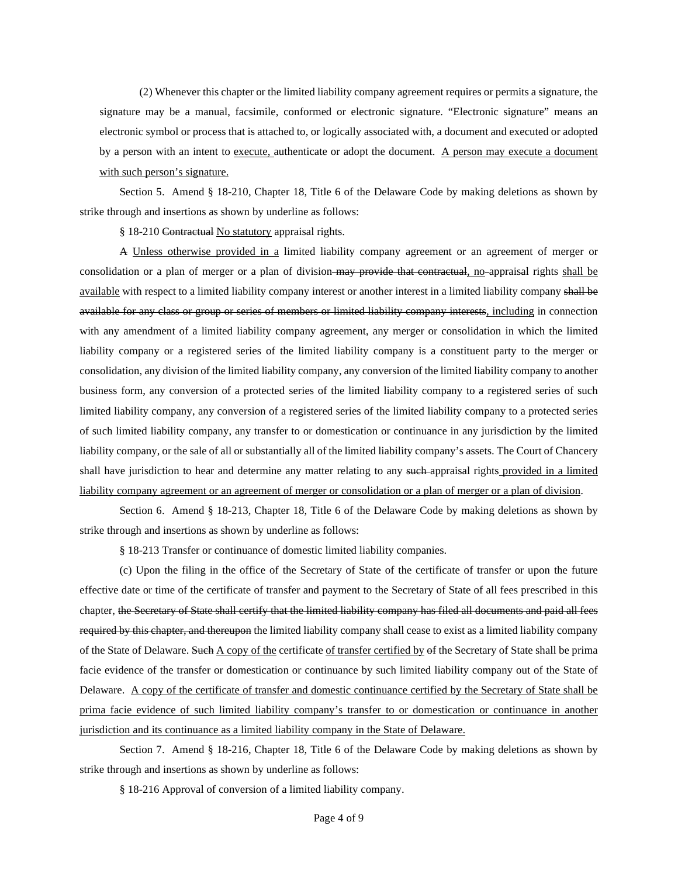(2) Whenever this chapter or the limited liability company agreement requires or permits a signature, the signature may be a manual, facsimile, conformed or electronic signature. "Electronic signature" means an electronic symbol or process that is attached to, or logically associated with, a document and executed or adopted by a person with an intent to execute, authenticate or adopt the document. A person may execute a document with such person's signature.

Section 5. Amend § 18-210, Chapter 18, Title 6 of the Delaware Code by making deletions as shown by strike through and insertions as shown by underline as follows:

§ 18-210 Contractual No statutory appraisal rights.

A Unless otherwise provided in a limited liability company agreement or an agreement of merger or consolidation or a plan of merger or a plan of division may provide that contractual, no-appraisal rights shall be available with respect to a limited liability company interest or another interest in a limited liability company shall be available for any class or group or series of members or limited liability company interests, including in connection with any amendment of a limited liability company agreement, any merger or consolidation in which the limited liability company or a registered series of the limited liability company is a constituent party to the merger or consolidation, any division of the limited liability company, any conversion of the limited liability company to another business form, any conversion of a protected series of the limited liability company to a registered series of such limited liability company, any conversion of a registered series of the limited liability company to a protected series of such limited liability company, any transfer to or domestication or continuance in any jurisdiction by the limited liability company, or the sale of all or substantially all of the limited liability company's assets. The Court of Chancery shall have jurisdiction to hear and determine any matter relating to any such-appraisal rights provided in a limited liability company agreement or an agreement of merger or consolidation or a plan of merger or a plan of division.

Section 6. Amend § 18-213, Chapter 18, Title 6 of the Delaware Code by making deletions as shown by strike through and insertions as shown by underline as follows:

§ 18-213 Transfer or continuance of domestic limited liability companies.

(c) Upon the filing in the office of the Secretary of State of the certificate of transfer or upon the future effective date or time of the certificate of transfer and payment to the Secretary of State of all fees prescribed in this chapter, the Secretary of State shall certify that the limited liability company has filed all documents and paid all fees required by this chapter, and thereupon the limited liability company shall cease to exist as a limited liability company of the State of Delaware. Such A copy of the certificate of transfer certified by of the Secretary of State shall be prima facie evidence of the transfer or domestication or continuance by such limited liability company out of the State of Delaware. A copy of the certificate of transfer and domestic continuance certified by the Secretary of State shall be prima facie evidence of such limited liability company's transfer to or domestication or continuance in another jurisdiction and its continuance as a limited liability company in the State of Delaware.

Section 7. Amend § 18-216, Chapter 18, Title 6 of the Delaware Code by making deletions as shown by strike through and insertions as shown by underline as follows:

§ 18-216 Approval of conversion of a limited liability company.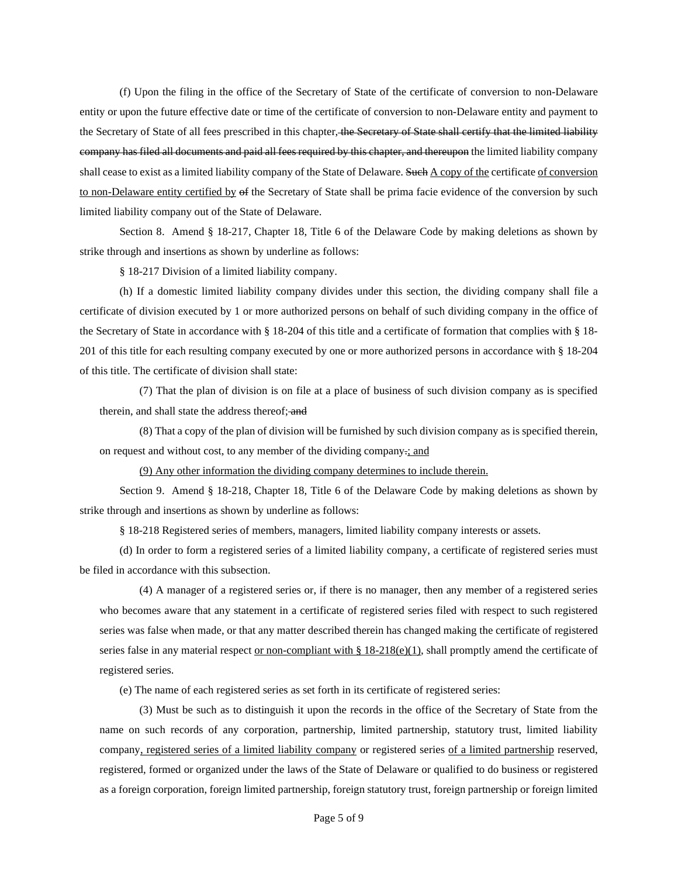(f) Upon the filing in the office of the Secretary of State of the certificate of conversion to non-Delaware entity or upon the future effective date or time of the certificate of conversion to non-Delaware entity and payment to the Secretary of State of all fees prescribed in this chapter, the Secretary of State shall certify that the limited liability company has filed all documents and paid all fees required by this chapter, and thereupon the limited liability company shall cease to exist as a limited liability company of the State of Delaware. Such A copy of the certificate of conversion to non-Delaware entity certified by of the Secretary of State shall be prima facie evidence of the conversion by such limited liability company out of the State of Delaware.

Section 8. Amend § 18-217, Chapter 18, Title 6 of the Delaware Code by making deletions as shown by strike through and insertions as shown by underline as follows:

§ 18-217 Division of a limited liability company.

(h) If a domestic limited liability company divides under this section, the dividing company shall file a certificate of division executed by 1 or more authorized persons on behalf of such dividing company in the office of the Secretary of State in accordance with § 18-204 of this title and a certificate of formation that complies with § 18- 201 of this title for each resulting company executed by one or more authorized persons in accordance with § 18-204 of this title. The certificate of division shall state:

(7) That the plan of division is on file at a place of business of such division company as is specified therein, and shall state the address thereof; and

(8) That a copy of the plan of division will be furnished by such division company as is specified therein, on request and without cost, to any member of the dividing company.; and

(9) Any other information the dividing company determines to include therein.

Section 9. Amend § 18-218, Chapter 18, Title 6 of the Delaware Code by making deletions as shown by strike through and insertions as shown by underline as follows:

§ 18-218 Registered series of members, managers, limited liability company interests or assets.

(d) In order to form a registered series of a limited liability company, a certificate of registered series must be filed in accordance with this subsection.

(4) A manager of a registered series or, if there is no manager, then any member of a registered series who becomes aware that any statement in a certificate of registered series filed with respect to such registered series was false when made, or that any matter described therein has changed making the certificate of registered series false in any material respect <u>or non-compliant with § 18-218(e)(1)</u>, shall promptly amend the certificate of registered series.

(e) The name of each registered series as set forth in its certificate of registered series:

(3) Must be such as to distinguish it upon the records in the office of the Secretary of State from the name on such records of any corporation, partnership, limited partnership, statutory trust, limited liability company, registered series of a limited liability company or registered series of a limited partnership reserved, registered, formed or organized under the laws of the State of Delaware or qualified to do business or registered as a foreign corporation, foreign limited partnership, foreign statutory trust, foreign partnership or foreign limited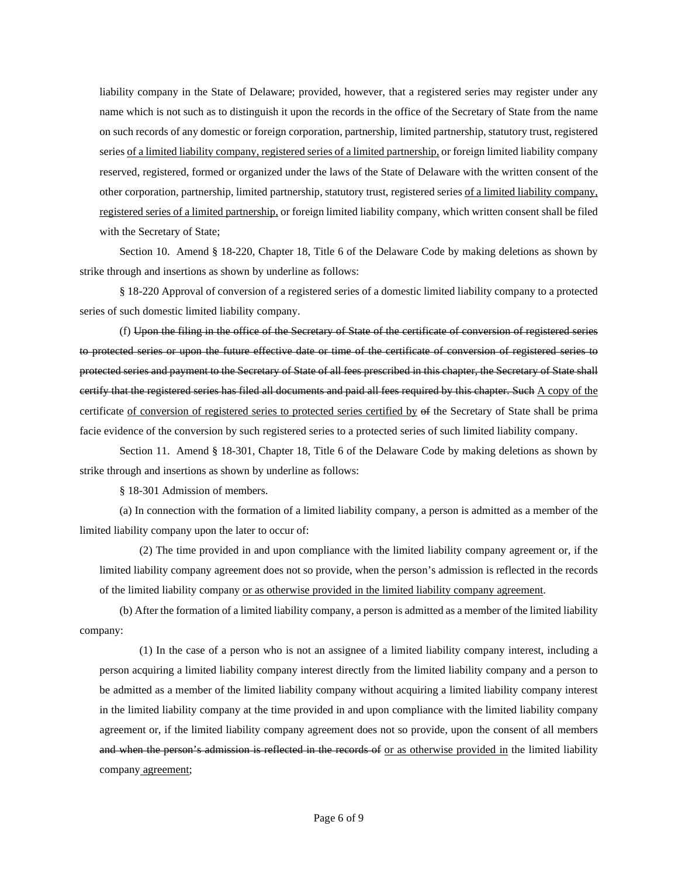liability company in the State of Delaware; provided, however, that a registered series may register under any name which is not such as to distinguish it upon the records in the office of the Secretary of State from the name on such records of any domestic or foreign corporation, partnership, limited partnership, statutory trust, registered series of a limited liability company, registered series of a limited partnership, or foreign limited liability company reserved, registered, formed or organized under the laws of the State of Delaware with the written consent of the other corporation, partnership, limited partnership, statutory trust, registered series of a limited liability company, registered series of a limited partnership, or foreign limited liability company, which written consent shall be filed with the Secretary of State;

Section 10. Amend § 18-220, Chapter 18, Title 6 of the Delaware Code by making deletions as shown by strike through and insertions as shown by underline as follows:

§ 18-220 Approval of conversion of a registered series of a domestic limited liability company to a protected series of such domestic limited liability company.

(f) Upon the filing in the office of the Secretary of State of the certificate of conversion of registered series to protected series or upon the future effective date or time of the certificate of conversion of registered series to protected series and payment to the Secretary of State of all fees prescribed in this chapter, the Secretary of State shall certify that the registered series has filed all documents and paid all fees required by this chapter. Such A copy of the certificate of conversion of registered series to protected series certified by of the Secretary of State shall be prima facie evidence of the conversion by such registered series to a protected series of such limited liability company.

Section 11. Amend § 18-301, Chapter 18, Title 6 of the Delaware Code by making deletions as shown by strike through and insertions as shown by underline as follows:

§ 18-301 Admission of members.

(a) In connection with the formation of a limited liability company, a person is admitted as a member of the limited liability company upon the later to occur of:

(2) The time provided in and upon compliance with the limited liability company agreement or, if the limited liability company agreement does not so provide, when the person's admission is reflected in the records of the limited liability company or as otherwise provided in the limited liability company agreement.

(b) After the formation of a limited liability company, a person is admitted as a member of the limited liability company:

(1) In the case of a person who is not an assignee of a limited liability company interest, including a person acquiring a limited liability company interest directly from the limited liability company and a person to be admitted as a member of the limited liability company without acquiring a limited liability company interest in the limited liability company at the time provided in and upon compliance with the limited liability company agreement or, if the limited liability company agreement does not so provide, upon the consent of all members and when the person's admission is reflected in the records of or as otherwise provided in the limited liability company agreement;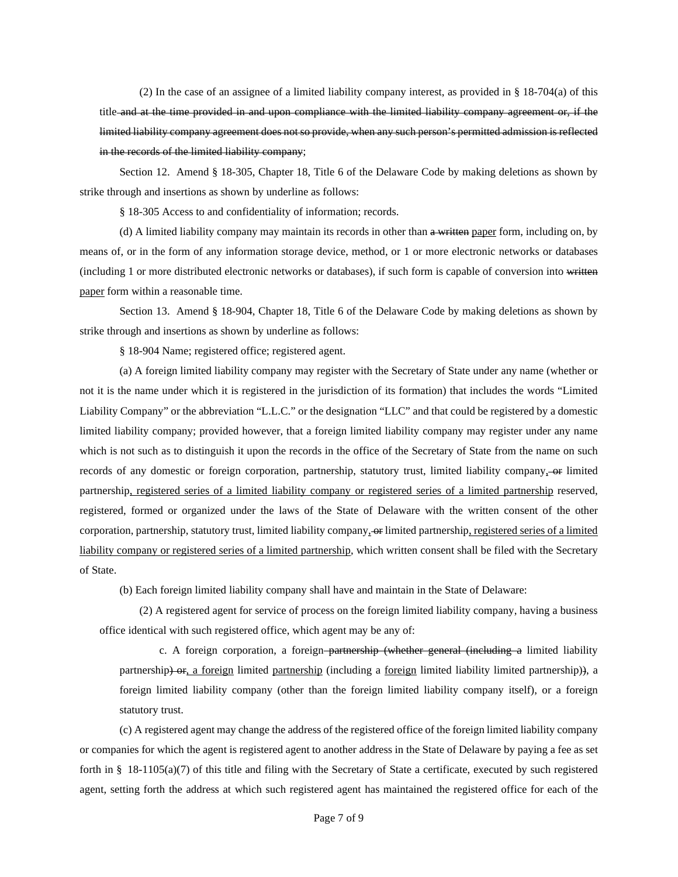(2) In the case of an assignee of a limited liability company interest, as provided in § 18-704(a) of this title and at the time provided in and upon compliance with the limited liability company agreement or, if the limited liability company agreement does not so provide, when any such person's permitted admission is reflected in the records of the limited liability company;

Section 12. Amend § 18-305, Chapter 18, Title 6 of the Delaware Code by making deletions as shown by strike through and insertions as shown by underline as follows:

§ 18-305 Access to and confidentiality of information; records.

(d) A limited liability company may maintain its records in other than a written paper form, including on, by means of, or in the form of any information storage device, method, or 1 or more electronic networks or databases (including 1 or more distributed electronic networks or databases), if such form is capable of conversion into written paper form within a reasonable time.

Section 13. Amend § 18-904, Chapter 18, Title 6 of the Delaware Code by making deletions as shown by strike through and insertions as shown by underline as follows:

§ 18-904 Name; registered office; registered agent.

(a) A foreign limited liability company may register with the Secretary of State under any name (whether or not it is the name under which it is registered in the jurisdiction of its formation) that includes the words "Limited Liability Company" or the abbreviation "L.L.C." or the designation "LLC" and that could be registered by a domestic limited liability company; provided however, that a foreign limited liability company may register under any name which is not such as to distinguish it upon the records in the office of the Secretary of State from the name on such records of any domestic or foreign corporation, partnership, statutory trust, limited liability company, -or limited partnership, registered series of a limited liability company or registered series of a limited partnership reserved, registered, formed or organized under the laws of the State of Delaware with the written consent of the other corporation, partnership, statutory trust, limited liability company, or limited partnership, registered series of a limited liability company or registered series of a limited partnership, which written consent shall be filed with the Secretary of State.

(b) Each foreign limited liability company shall have and maintain in the State of Delaware:

(2) A registered agent for service of process on the foreign limited liability company, having a business office identical with such registered office, which agent may be any of:

c. A foreign corporation, a foreign–partnership (whether general (including a limited liability partnership) or, a foreign limited partnership (including a foreign limited liability limited partnership)), a foreign limited liability company (other than the foreign limited liability company itself), or a foreign statutory trust.

(c) A registered agent may change the address of the registered office of the foreign limited liability company or companies for which the agent is registered agent to another address in the State of Delaware by paying a fee as set forth in § 18-1105(a)(7) of this title and filing with the Secretary of State a certificate, executed by such registered agent, setting forth the address at which such registered agent has maintained the registered office for each of the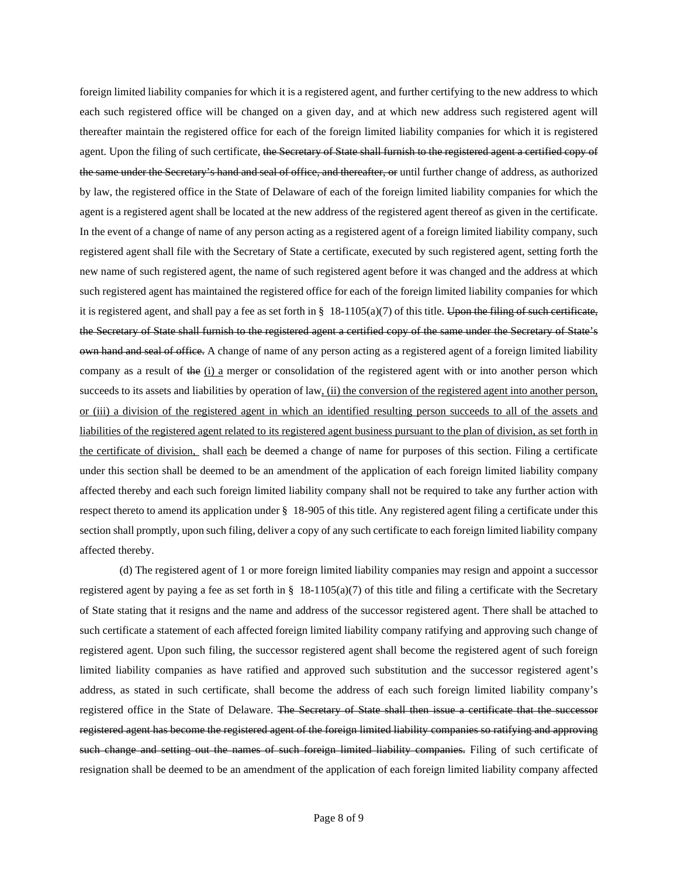foreign limited liability companies for which it is a registered agent, and further certifying to the new address to which each such registered office will be changed on a given day, and at which new address such registered agent will thereafter maintain the registered office for each of the foreign limited liability companies for which it is registered agent. Upon the filing of such certificate, the Secretary of State shall furnish to the registered agent a certified copy of the same under the Secretary's hand and seal of office, and thereafter, or until further change of address, as authorized by law, the registered office in the State of Delaware of each of the foreign limited liability companies for which the agent is a registered agent shall be located at the new address of the registered agent thereof as given in the certificate. In the event of a change of name of any person acting as a registered agent of a foreign limited liability company, such registered agent shall file with the Secretary of State a certificate, executed by such registered agent, setting forth the new name of such registered agent, the name of such registered agent before it was changed and the address at which such registered agent has maintained the registered office for each of the foreign limited liability companies for which it is registered agent, and shall pay a fee as set forth in  $\S$  18-1105(a)(7) of this title. Upon the filing of such certificate, the Secretary of State shall furnish to the registered agent a certified copy of the same under the Secretary of State's own hand and seal of office. A change of name of any person acting as a registered agent of a foreign limited liability company as a result of the (i) a merger or consolidation of the registered agent with or into another person which succeeds to its assets and liabilities by operation of law, (ii) the conversion of the registered agent into another person, or (iii) a division of the registered agent in which an identified resulting person succeeds to all of the assets and liabilities of the registered agent related to its registered agent business pursuant to the plan of division, as set forth in the certificate of division, shall each be deemed a change of name for purposes of this section. Filing a certificate under this section shall be deemed to be an amendment of the application of each foreign limited liability company affected thereby and each such foreign limited liability company shall not be required to take any further action with respect thereto to amend its application under § 18-905 of this title. Any registered agent filing a certificate under this section shall promptly, upon such filing, deliver a copy of any such certificate to each foreign limited liability company affected thereby.

(d) The registered agent of 1 or more foreign limited liability companies may resign and appoint a successor registered agent by paying a fee as set forth in  $\S$  18-1105(a)(7) of this title and filing a certificate with the Secretary of State stating that it resigns and the name and address of the successor registered agent. There shall be attached to such certificate a statement of each affected foreign limited liability company ratifying and approving such change of registered agent. Upon such filing, the successor registered agent shall become the registered agent of such foreign limited liability companies as have ratified and approved such substitution and the successor registered agent's address, as stated in such certificate, shall become the address of each such foreign limited liability company's registered office in the State of Delaware. The Secretary of State shall then issue a certificate that the successor registered agent has become the registered agent of the foreign limited liability companies so ratifying and approving such change and setting out the names of such foreign limited liability companies. Filing of such certificate of resignation shall be deemed to be an amendment of the application of each foreign limited liability company affected